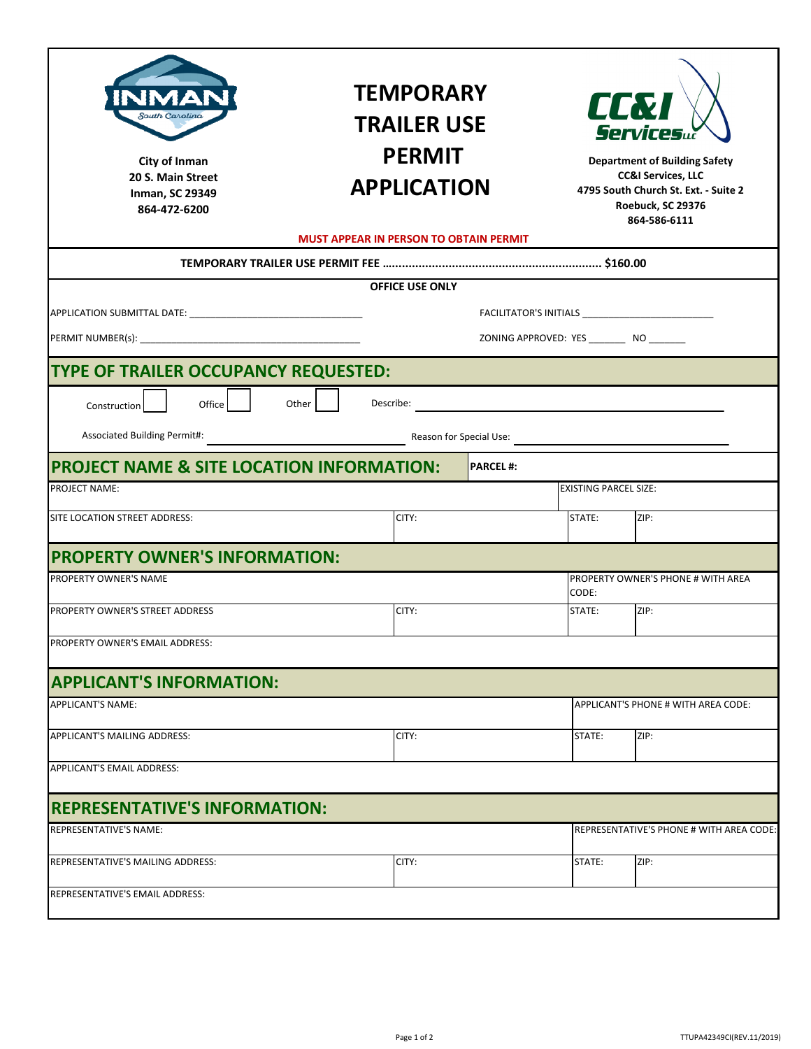| South Carolina<br>City of Inman<br>20 S. Main Street<br><b>Inman, SC 29349</b><br>864-472-6200 | <b>TEMPORARY</b><br><b>TRAILER USE</b><br><b>PERMIT</b><br><b>APPLICATION</b><br><b>MUST APPEAR IN PERSON TO OBTAIN PERMIT</b> |                                           | <b>CC&amp;I</b><br><i>Services</i><br><b>Department of Building Safety</b><br><b>CC&amp;I Services, LLC</b><br>4795 South Church St. Ext. - Suite 2<br>Roebuck, SC 29376<br>864-586-6111 |                                          |
|------------------------------------------------------------------------------------------------|--------------------------------------------------------------------------------------------------------------------------------|-------------------------------------------|------------------------------------------------------------------------------------------------------------------------------------------------------------------------------------------|------------------------------------------|
|                                                                                                |                                                                                                                                |                                           |                                                                                                                                                                                          |                                          |
| <b>OFFICE USE ONLY</b>                                                                         |                                                                                                                                |                                           |                                                                                                                                                                                          |                                          |
|                                                                                                |                                                                                                                                |                                           |                                                                                                                                                                                          |                                          |
|                                                                                                |                                                                                                                                | ZONING APPROVED: YES _________ NO _______ |                                                                                                                                                                                          |                                          |
| TYPE OF TRAILER OCCUPANCY REQUESTED:                                                           |                                                                                                                                |                                           |                                                                                                                                                                                          |                                          |
| Other<br>Office<br>Construction                                                                | Describe:                                                                                                                      |                                           |                                                                                                                                                                                          |                                          |
| Associated Building Permit#:                                                                   |                                                                                                                                |                                           |                                                                                                                                                                                          |                                          |
| <b>PROJECT NAME &amp; SITE LOCATION INFORMATION:</b><br><b>PARCEL#:</b>                        |                                                                                                                                |                                           |                                                                                                                                                                                          |                                          |
| <b>PROJECT NAME:</b>                                                                           |                                                                                                                                |                                           | <b>EXISTING PARCEL SIZE:</b>                                                                                                                                                             |                                          |
| SITE LOCATION STREET ADDRESS:                                                                  | CITY:                                                                                                                          |                                           | STATE:                                                                                                                                                                                   | ZIP:                                     |
| <b>PROPERTY OWNER'S INFORMATION:</b>                                                           |                                                                                                                                |                                           |                                                                                                                                                                                          |                                          |
| PROPERTY OWNER'S NAME                                                                          |                                                                                                                                |                                           | CODE:                                                                                                                                                                                    | PROPERTY OWNER'S PHONE # WITH AREA       |
| PROPERTY OWNER'S STREET ADDRESS                                                                | CITY:                                                                                                                          |                                           | STATE:                                                                                                                                                                                   | ZIP:                                     |
| PROPERTY OWNER'S EMAIL ADDRESS:                                                                |                                                                                                                                |                                           |                                                                                                                                                                                          |                                          |
| <b>APPLICANT'S INFORMATION:</b>                                                                |                                                                                                                                |                                           |                                                                                                                                                                                          |                                          |
| <b>APPLICANT'S NAME:</b>                                                                       |                                                                                                                                |                                           |                                                                                                                                                                                          | APPLICANT'S PHONE # WITH AREA CODE:      |
| APPLICANT'S MAILING ADDRESS:                                                                   | CITY:                                                                                                                          |                                           | STATE:                                                                                                                                                                                   | ZIP:                                     |
| <b>APPLICANT'S EMAIL ADDRESS:</b>                                                              |                                                                                                                                |                                           |                                                                                                                                                                                          |                                          |
| <b>REPRESENTATIVE'S INFORMATION:</b>                                                           |                                                                                                                                |                                           |                                                                                                                                                                                          |                                          |
| REPRESENTATIVE'S NAME:                                                                         |                                                                                                                                |                                           |                                                                                                                                                                                          | REPRESENTATIVE'S PHONE # WITH AREA CODE: |
| REPRESENTATIVE'S MAILING ADDRESS:                                                              | CITY:                                                                                                                          |                                           | STATE:                                                                                                                                                                                   | ZIP:                                     |
| REPRESENTATIVE'S EMAIL ADDRESS:                                                                |                                                                                                                                |                                           |                                                                                                                                                                                          |                                          |